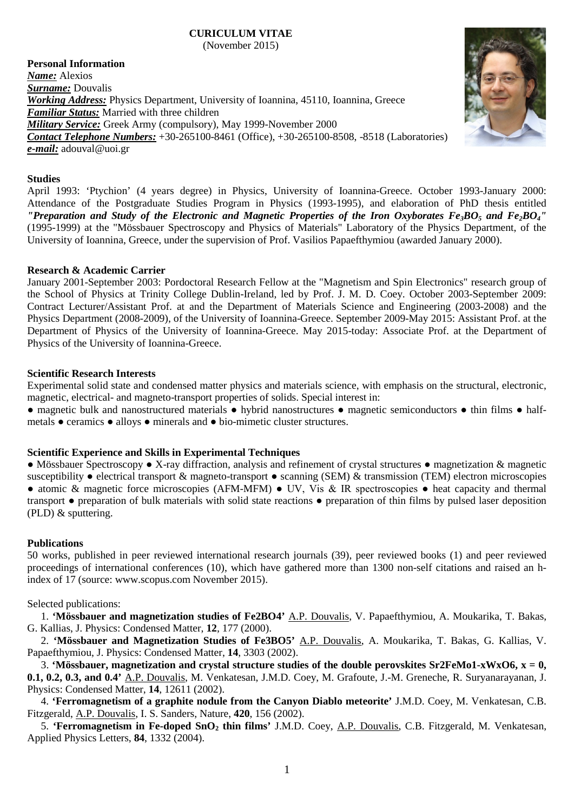# **CURICULUM VITAE**

(November 2015)

**Personal Information** *Name:* Alexios *Surname:* Douvalis *Working Address:* Physics Department, University of Ioannina, 45110, Ioannina, Greece *Familiar Status:* Married with three children *Military Service:* Greek Army (compulsory), May 1999-November 2000 *Contact Telephone Numbers:* +30-265100-8461 (Office), +30-265100-8508, -8518 (Laboratories) *e-mail:* adouval@uoi.gr

## **Studies**

April 1993: 'Ptychion' (4 years degree) in Physics, University of Ioannina-Greece. October 1993-January 2000: Attendance of the Postgraduate Studies Program in Physics (1993-1995), and elaboration of PhD thesis entitled *"Preparation and Study of the Electronic and Magnetic Properties of the Iron Oxyborates Fe<sub>3</sub>BO<sub>5</sub> and Fe<sub>2</sub>BO<sub>4</sub>"* (1995-1999) at the "Mössbauer Spectroscopy and Physics of Materials" Laboratory of the Physics Department, of the University of Ioannina, Greece, under the supervision of Prof. Vasilios Papaefthymiou (awarded January 2000).

#### **Research & Academic Carrier**

January 2001-September 2003: Pordoctoral Research Fellow at the "Magnetism and Spin Electronics" research group of the School of Physics at Trinity College Dublin-Ireland, led by Prof. J. M. D. Coey. October 2003-September 2009: Contract Lecturer/Assistant Prof. at and the Department of Materials Science and Engineering (2003-2008) and the Physics Department (2008-2009), of the University of Ioannina-Greece. September 2009-May 2015: Assistant Prof. at the Department of Physics of the University of Ioannina-Greece. May 2015-today: Associate Prof. at the Department of Physics of the University of Ioannina-Greece.

# **Scientific Research Interests**

Experimental solid state and condensed matter physics and materials science, with emphasis on the structural, electronic, magnetic, electrical- and magneto-transport properties of solids. Special interest in:

● magnetic bulk and nanostructured materials ● hybrid nanostructures ● magnetic semiconductors ● thin films ● halfmetals ● ceramics ● alloys ● minerals and ● bio-mimetic cluster structures.

# **Scientific Experience and Skills in Experimental Techniques**

● Mössbauer Spectroscopy ● X-ray diffraction, analysis and refinement of crystal structures ● magnetization & magnetic susceptibility • electrical transport & magneto-transport • scanning (SEM) & transmission (TEM) electron microscopies ● atomic & magnetic force microscopies (AFM-MFM) • UV, Vis & IR spectroscopies • heat capacity and thermal transport ● preparation of bulk materials with solid state reactions ● preparation of thin films by pulsed laser deposition (PLD) & sputtering.

#### **Publications**

50 works, published in peer reviewed international research journals (39), peer reviewed books (1) and peer reviewed proceedings of international conferences (10), which have gathered more than 1300 non-self citations and raised an hindex of 17 (source: www.scopus.com November 2015).

Selected publications:

1. **'Mössbauer and magnetization studies of Fe2BO4'** A.P. Douvalis, V. Papaefthymiou, A. Moukarika, T. Bakas, G. Kallias, J. Physics: Condensed Matter, **12**, 177 (2000).

2. **'Mössbauer and Magnetization Studies of Fe3BO5'** A.P. Douvalis, A. Moukarika, T. Bakas, G. Kallias, V. Papaefthymiou, J. Physics: Condensed Matter, **14**, 3303 (2002).

3. **'Mössbauer, magnetization and crystal structure studies of the double perovskites Sr2FeMo1-xWxO6, x = 0, 0.1, 0.2, 0.3, and 0.4'** A.P. Douvalis, M. Venkatesan, J.M.D. Coey, M. Grafoute, J.-M. Greneche, R. Suryanarayanan, J. Physics: Condensed Matter, **14**, 12611 (2002).

4. **'Ferromagnetism of a graphite nodule from the Canyon Diablo meteorite'** J.M.D. Coey, M. Venkatesan, C.B. Fitzgerald, A.P. Douvalis, I. S. Sanders, Nature, **420**, 156 (2002).

5. **'Ferromagnetism in Fe-doped SnO2 thin films'** J.M.D. Coey, A.P. Douvalis, C.B. Fitzgerald, M. Venkatesan, Applied Physics Letters, **84**, 1332 (2004).

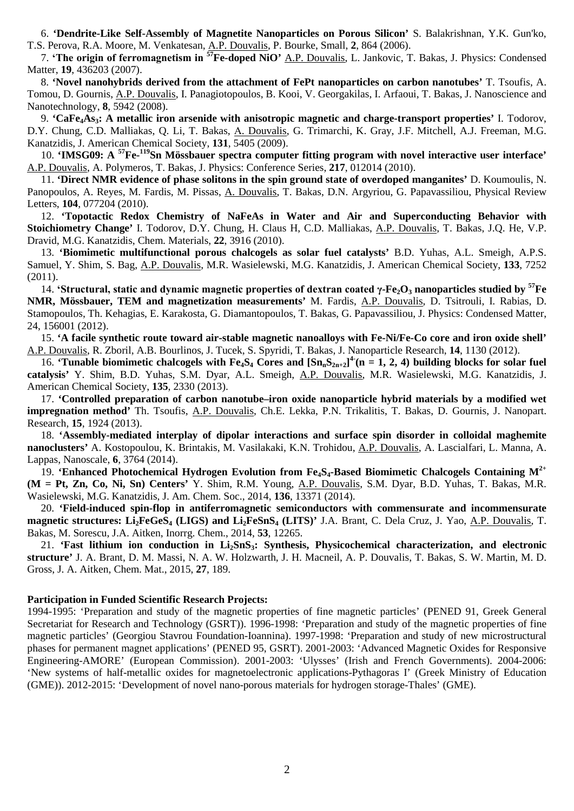6. **'Dendrite-Like Self-Assembly of Magnetite Nanoparticles on Porous Silicon'** S. Balakrishnan, Y.K. Gun'ko, T.S. Perova, R.A. Moore, M. Venkatesan, A.P. Douvalis, P. Bourke, Small, **2**, 864 (2006).

7. **'The οrigin of ferromagnetism in 57Fe-doped NiO'** A.P. Douvalis, L. Jankovic, T. Bakas, J. Physics: Condensed Matter, **19**, 436203 (2007).

8. **'Novel nanohybrids derived from the attachment of FePt nanoparticles on carbon nanotubes'** T. Tsoufis, A. Tomou, D. Gournis, A.P. Douvalis, I. Panagiotopoulos, B. Kooi, V. Georgakilas, I. Arfaoui, T. Bakas, J. Nanoscience and Nanotechnology, **8**, 5942 (2008).

9. **'CaFe4As3: A metallic iron arsenide with anisotropic magnetic and charge-transport properties'** Ι. Todorov, D.Y. Chung, C.D. Malliakas, Q. Li, T. Bakas, Α. Douvalis, G. Trimarchi, K. Gray, J.F. Mitchell, A.J. Freeman, M.G. Kanatzidis, J. American Chemical Society, **131**, 5405 (2009).

10. **'IMSG09: A <sup>57</sup>Fe-<sup>119</sup>Sn Mössbauer spectra computer fitting program with novel interactive user interface'** A.P. Douvalis, A. Polymeros, T. Bakas, J. Physics: Conference Series, **217**, 012014 (2010).

11. **'Direct NMR evidence of phase solitons in the spin ground state of overdoped manganites'** D. Koumoulis, N. Panopoulos, A. Reyes, M. Fardis, M. Pissas, A. Douvalis, T. Bakas, D.N. Argyriou, G. Papavassiliou, Physical Review Letters, **104**, 077204 (2010).

12. **'Topotactic Redox Chemistry of NaFeAs in Water and Air and Superconducting Behavior with Stoichiometry Change'** I. Todorov, D.Y. Chung, H. Claus H, C.D. Malliakas, A.P. Douvalis, T. Bakas, J.Q. He, V.P. Dravid, M.G. Kanatzidis, Chem. Materials, **22**, 3916 (2010).

13. **'Biomimetic multifunctional porous chalcogels as solar fuel catalysts'** B.D. Yuhas, A.L. Smeigh, A.P.S. Samuel, Y. Shim, S. Bag, A.P. Douvalis, M.R. Wasielewski, M.G. Kanatzidis, J. American Chemical Society, **133**, 7252 (2011).

14. **'Structural, static and dynamic magnetic properties of dextran coated γ-Fe2O3 nanoparticles studied by 57Fe NMR, Mössbauer, TEM and magnetization measurements'** M. Fardis, A.P. Douvalis, D. Tsitrouli, I. Rabias, D. Stamopoulos, Th. Kehagias, E. Karakosta, G. Diamantopoulos, T. Bakas, G. Papavassiliou, J. Physics: Condensed Matter, 24, 156001 (2012).

15. **'A facile synthetic route toward air-stable magnetic nanoalloys with Fe-Ni/Fe-Co core and iron oxide shell'** A.P. Douvalis, R. Zboril, A.B. Bourlinos, J. Tucek, S. Spyridi, T. Bakas, J. Nanoparticle Research, **14**, 1130 (2012).

16. **Tunable biomimetic chalcogels with Fe<sub>4</sub>S<sub>4</sub> Cores and**  $[\text{Sn}_n\text{S}_{2n+2}]^4$  **(n = 1, 2, 4) building blocks for solar fuel catalysis'** Y. Shim, B.D. Yuhas, S.M. Dyar, A.L. Smeigh, A.P. Douvalis, M.R. Wasielewski, M.G. Kanatzidis, J. American Chemical Society, **135**, 2330 (2013).

17. **'Controlled preparation of carbon nanotube–iron oxide nanoparticle hybrid materials by a modified wet impregnation method'** Th. Tsoufis, A.P. Douvalis, Ch.E. Lekka, P.N. Trikalitis, T. Bakas, D. Gournis, J. Nanopart. Research, **15**, 1924 (2013).

18. **'Assembly-mediated interplay of dipolar interactions and surface spin disorder in colloidal maghemite nanoclusters'** A. Kostopoulou, K. Brintakis, M. Vasilakaki, K.N. Trohidou, A.P. Douvalis, A. Lascialfari, L. Manna, A. Lappas, Nanoscale, **6**, 3764 (2014).

19. **'Enhanced Photochemical Hydrogen Evolution from Fe4S4-Based Biomimetic Chalcogels Containing M2+ (M = Pt, Zn, Co, Ni, Sn) Centers'** Y. Shim, R.M. Young, A.P. Douvalis, S.M. Dyar, B.D. Yuhas, T. Bakas, M.R. Wasielewski, M.G. Kanatzidis, J. Am. Chem. Soc., 2014, **136**, 13371 (2014).

20. **'Field-induced spin-flop in antiferromagnetic semiconductors with commensurate and incommensurate magnetic structures: Li2FeGeS4 (LIGS) and Li2FeSnS4 (LITS)'** J.A. Brant, C. Dela Cruz, J. Yao, A.P. Douvalis, T. Bakas, M. Sorescu, J.A. Aitken, Inorrg. Chem., 2014, **53**, 12265.

21. **'Fast lithium ion conduction in Li2SnS3: Synthesis, Physicochemical characterization, and electronic structure'** J. A. Brant, D. M. Massi, N. A. W. Holzwarth, J. H. Macneil, A. P. Douvalis, T. Bakas, S. W. Martin, M. D. Gross, J. A. Aitken, Chem. Mat., 2015, **27**, 189.

#### **Participation in Funded Scientific Research Projects:**

1994-1995: 'Preparation and study of the magnetic properties of fine magnetic particles' (PENED 91, Greek General Secretariat for Research and Technology (GSRT)). 1996-1998: 'Preparation and study of the magnetic properties of fine magnetic particles' (Georgiou Stavrou Foundation-Ioannina). 1997-1998: 'Preparation and study of new microstructural phases for permanent magnet applications' (PENED 95, GSRT). 2001-2003: 'Advanced Magnetic Oxides for Responsive Engineering-AMORE' (European Commission). 2001-2003: 'Ulysses' (Irish and French Governments). 2004-2006: 'New systems of half-metallic oxides for magnetoelectronic applications-Pythagoras I' (Greek Ministry of Education (GME)). 2012-2015: 'Development of novel nano-porous materials for hydrogen storage-Thales' (GME).